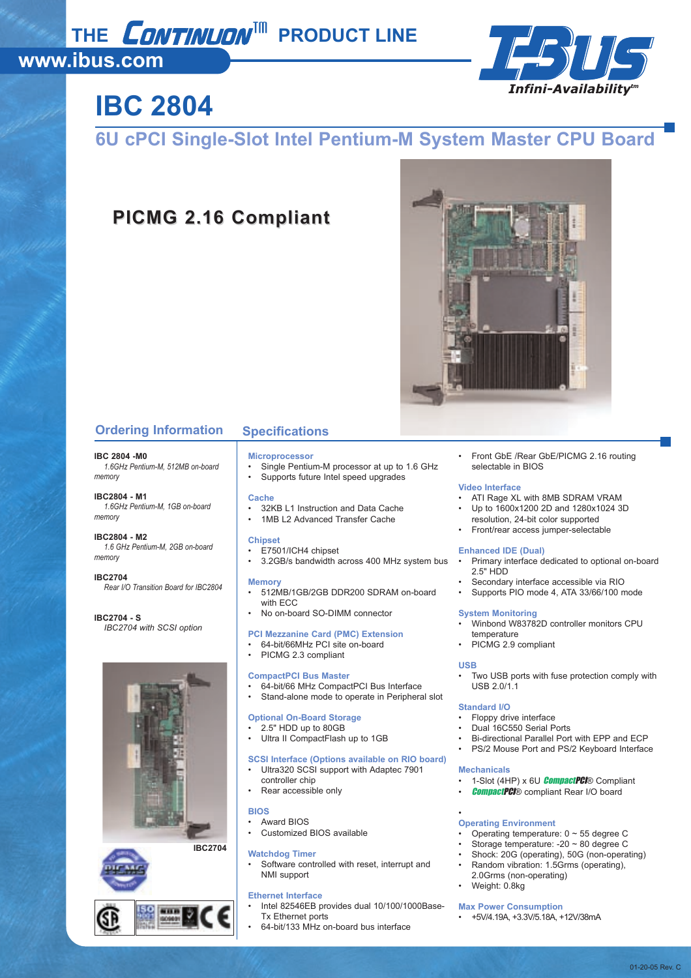## THE **CONTINUON<sup>IM</sup>** PRODUCT LINE

### **www.ibus.com**



# **IBC 2804**

### **6U cPCI Single-Slot Intel Pentium-M System Master CPU Board**

### **PICMG 2.16 Compliant PICMG 2.16 Compliant**



#### **Ordering Information Specifications**

#### **IBC 2804 -M0**

*1.6GHz Pentium-M, 512MB on-board memory*

#### **IBC2804 - M1** *1.6GHz Pentium-M, 1GB on-board memory*

#### **IBC2804 - M2** *1.6 GHz Pentium-M, 2GB on-board memory*

**IBC2704** *Rear I/O Transition Board for IBC2804*

#### **IBC2704 - S** *IBC2704 with SCSI option*



**IBC2704**



#### **Microprocessor**

- Single Pentium-M processor at up to 1.6 GHz
- Supports future Intel speed upgrades

#### **Cache**

- 32KB L1 Instruction and Data Cache
- 1MB L2 Advanced Transfer Cache

#### **Chipset**

- E7501/ICH4 chipset
- 3.2GB/s bandwidth across 400 MHz system bus

#### **Memory**

- 512MB/1GB/2GB DDR200 SDRAM on-board with ECC
- No on-board SO-DIMM connector

#### **PCI Mezzanine Card (PMC) Extension**

- 64-bit/66MHz PCI site on-board
- PICMG 2.3 compliant
- **CompactPCI Bus Master**

### • 64-bit/66 MHz CompactPCI Bus Interface

Stand-alone mode to operate in Peripheral slot

#### **Optional On-Board Storage**

- 2.5" HDD up to 80GB
- Ultra II CompactFlash up to 1GB

#### **SCSI Interface (Options available on RIO board)**

- Ultra320 SCSI support with Adaptec 7901
- controller chip Rear accessible only

#### **BIOS**

- Award BIOS
- Customized BIOS available

#### **Watchdog Timer**

Software controlled with reset, interrupt and NMI support

#### **Ethernet Interface**

- Intel 82546EB provides dual 10/100/1000Base-Tx Ethernet ports
- 64-bit/133 MHz on-board bus interface

• Front GbE /Rear GbE/PICMG 2.16 routing selectable in BIOS

#### **Video Interface**

- ATI Rage XL with 8MB SDRAM VRAM
- Up to 1600x1200 2D and 1280x1024 3D resolution, 24-bit color supported
- Front/rear access jumper-selectable

#### **Enhanced IDE (Dual)**

- Primary interface dedicated to optional on-board 2.5" HDD
- Secondary interface accessible via RIO
- Supports PIO mode 4, ATA 33/66/100 mode

#### **System Monitoring**

- Winbond W83782D controller monitors CPU temperature
- PICMG 2.9 compliant

#### **USB**

Two USB ports with fuse protection comply with USB 2.0/1.1

#### **Standard I/O**

- Floppy drive interface
- Dual 16C550 Serial Ports
- Bi-directional Parallel Port with EPP and ECP
- PS/2 Mouse Port and PS/2 Keyboard Interface

#### **Mechanicals**

- 1-Slot (4HP) x 6U **CompactPCI**® Compliant
- **CompactPCI**® compliant Rear I/O board

#### • **Operating Environment**

- Operating temperature:  $0 \sim 55$  degree C
- Storage temperature: -20 ~ 80 degree C
- Shock: 20G (operating), 50G (non-operating)
- Random vibration: 1.5Grms (operating),
- 2.0Grms (non-operating)
- Weight: 0.8kg

#### **Max Power Consumption**

• +5V/4.19A, +3.3V/5.18A, +12V/38mA